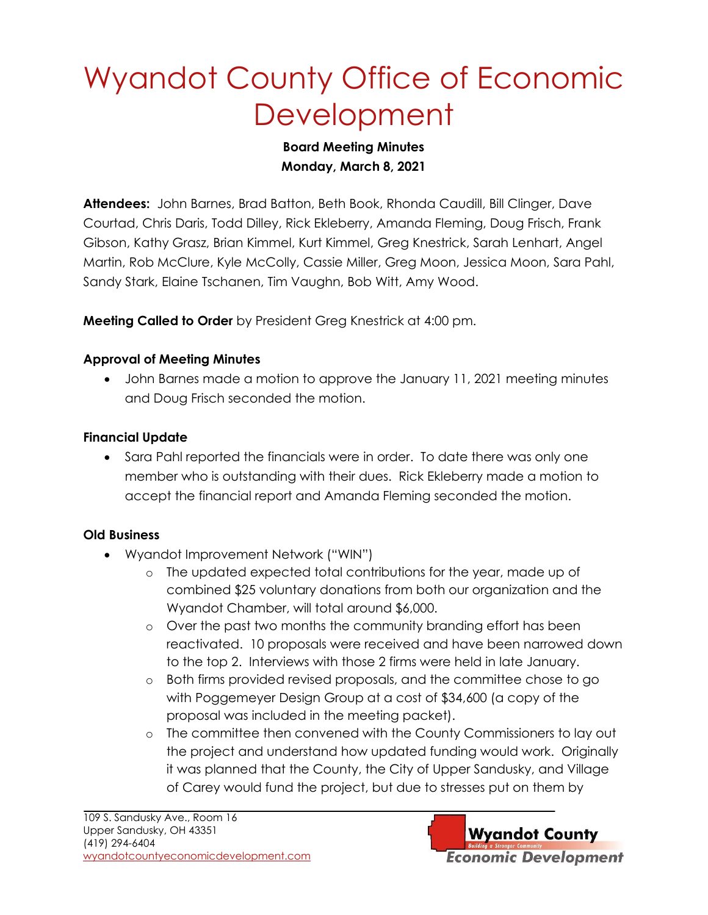# Wyandot County Office of Economic **Development**

#### **Board Meeting Minutes Monday, March 8, 2021**

**Attendees:** John Barnes, Brad Batton, Beth Book, Rhonda Caudill, Bill Clinger, Dave Courtad, Chris Daris, Todd Dilley, Rick Ekleberry, Amanda Fleming, Doug Frisch, Frank Gibson, Kathy Grasz, Brian Kimmel, Kurt Kimmel, Greg Knestrick, Sarah Lenhart, Angel Martin, Rob McClure, Kyle McColly, Cassie Miller, Greg Moon, Jessica Moon, Sara Pahl, Sandy Stark, Elaine Tschanen, Tim Vaughn, Bob Witt, Amy Wood.

**Meeting Called to Order** by President Greg Knestrick at 4:00 pm.

### **Approval of Meeting Minutes**

• John Barnes made a motion to approve the January 11, 2021 meeting minutes and Doug Frisch seconded the motion.

### **Financial Update**

• Sara Pahl reported the financials were in order. To date there was only one member who is outstanding with their dues. Rick Ekleberry made a motion to accept the financial report and Amanda Fleming seconded the motion.

## **Old Business**

- Wyandot Improvement Network ("WIN")
	- o The updated expected total contributions for the year, made up of combined \$25 voluntary donations from both our organization and the Wyandot Chamber, will total around \$6,000.
	- o Over the past two months the community branding effort has been reactivated. 10 proposals were received and have been narrowed down to the top 2. Interviews with those 2 firms were held in late January.
	- o Both firms provided revised proposals, and the committee chose to go with Poggemeyer Design Group at a cost of \$34,600 (a copy of the proposal was included in the meeting packet).
	- o The committee then convened with the County Commissioners to lay out the project and understand how updated funding would work. Originally it was planned that the County, the City of Upper Sandusky, and Village of Carey would fund the project, but due to stresses put on them by

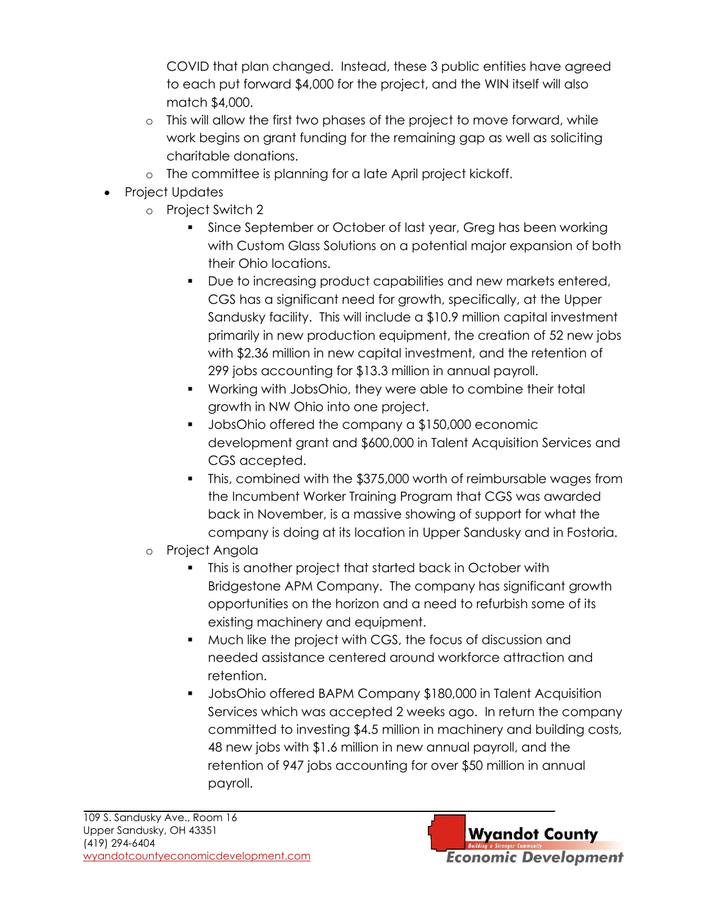COVID that plan changed. Instead, these 3 public entities have agreed to each put forward \$4,000 for the project, and the WIN itself will also match \$4,000.

- o This will allow the first two phases of the project to move forward, while work begins on grant funding for the remaining gap as well as soliciting charitable donations.
- o The committee is planning for a late April project kickoff.
- Project Updates
	- o Project Switch 2
		- Since September or October of last year, Greg has been working with Custom Glass Solutions on a potential major expansion of both their Ohio locations.
		- Due to increasing product capabilities and new markets entered, CGS has a significant need for growth, specifically, at the Upper Sandusky facility. This will include a \$10.9 million capital investment primarily in new production equipment, the creation of 52 new jobs with \$2.36 million in new capital investment, and the retention of 299 jobs accounting for \$13.3 million in annual payroll.
		- Working with JobsOhio, they were able to combine their total growth in NW Ohio into one project.
		- JobsOhio offered the company a \$150,000 economic development grant and \$600,000 in Talent Acquisition Services and CGS accepted.
		- This, combined with the \$375,000 worth of reimbursable wages from the Incumbent Worker Training Program that CGS was awarded back in November, is a massive showing of support for what the company is doing at its location in Upper Sandusky and in Fostoria.
	- o Project Angola
		- This is another project that started back in October with Bridgestone APM Company. The company has significant growth opportunities on the horizon and a need to refurbish some of its existing machinery and equipment.
		- Much like the project with CGS, the focus of discussion and needed assistance centered around workforce attraction and retention.
		- JobsOhio offered BAPM Company \$180,000 in Talent Acquisition Services which was accepted 2 weeks ago. In return the company committed to investing \$4.5 million in machinery and building costs, 48 new jobs with \$1.6 million in new annual payroll, and the retention of 947 jobs accounting for over \$50 million in annual payroll.

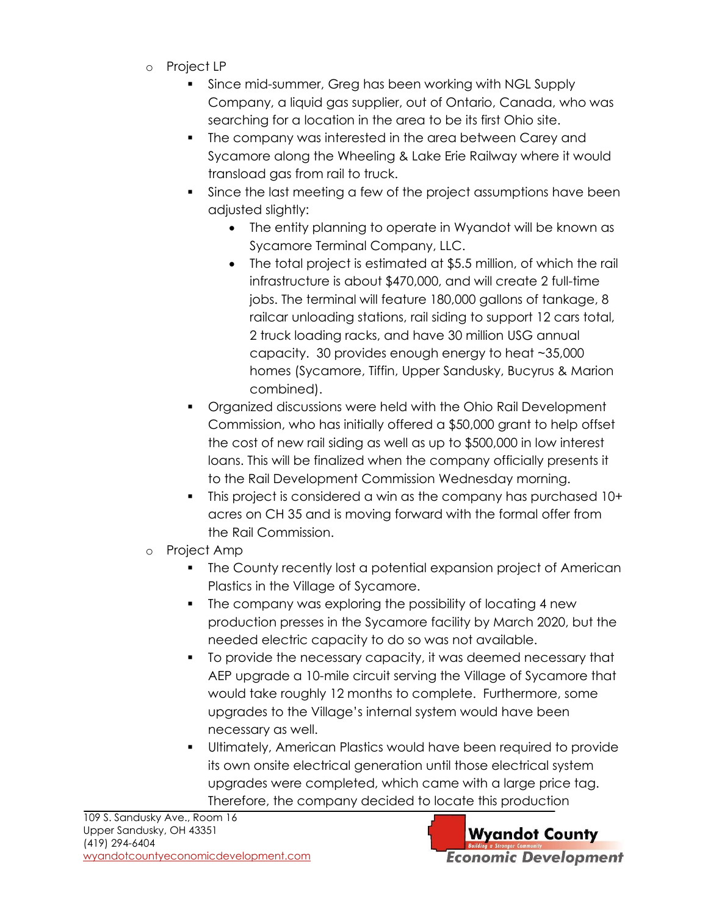- o Project LP
	- Since mid-summer, Greg has been working with NGL Supply Company, a liquid gas supplier, out of Ontario, Canada, who was searching for a location in the area to be its first Ohio site.
	- The company was interested in the area between Carey and Sycamore along the Wheeling & Lake Erie Railway where it would transload gas from rail to truck.
	- Since the last meeting a few of the project assumptions have been adjusted slightly:
		- The entity planning to operate in Wyandot will be known as Sycamore Terminal Company, LLC.
		- The total project is estimated at \$5.5 million, of which the rail infrastructure is about \$470,000, and will create 2 full-time jobs. The terminal will feature 180,000 gallons of tankage, 8 railcar unloading stations, rail siding to support 12 cars total, 2 truck loading racks, and have 30 million USG annual capacity. 30 provides enough energy to heat ~35,000 homes (Sycamore, Tiffin, Upper Sandusky, Bucyrus & Marion combined).
	- Organized discussions were held with the Ohio Rail Development Commission, who has initially offered a \$50,000 grant to help offset the cost of new rail siding as well as up to \$500,000 in low interest loans. This will be finalized when the company officially presents it to the Rail Development Commission Wednesday morning.
	- This project is considered a win as the company has purchased 10+ acres on CH 35 and is moving forward with the formal offer from the Rail Commission.
- o Project Amp
	- **•** The County recently lost a potential expansion project of American Plastics in the Village of Sycamore.
	- The company was exploring the possibility of locating 4 new production presses in the Sycamore facility by March 2020, but the needed electric capacity to do so was not available.
	- To provide the necessary capacity, it was deemed necessary that AEP upgrade a 10-mile circuit serving the Village of Sycamore that would take roughly 12 months to complete. Furthermore, some upgrades to the Village's internal system would have been necessary as well.
	- Ultimately, American Plastics would have been required to provide its own onsite electrical generation until those electrical system upgrades were completed, which came with a large price tag. Therefore, the company decided to locate this production

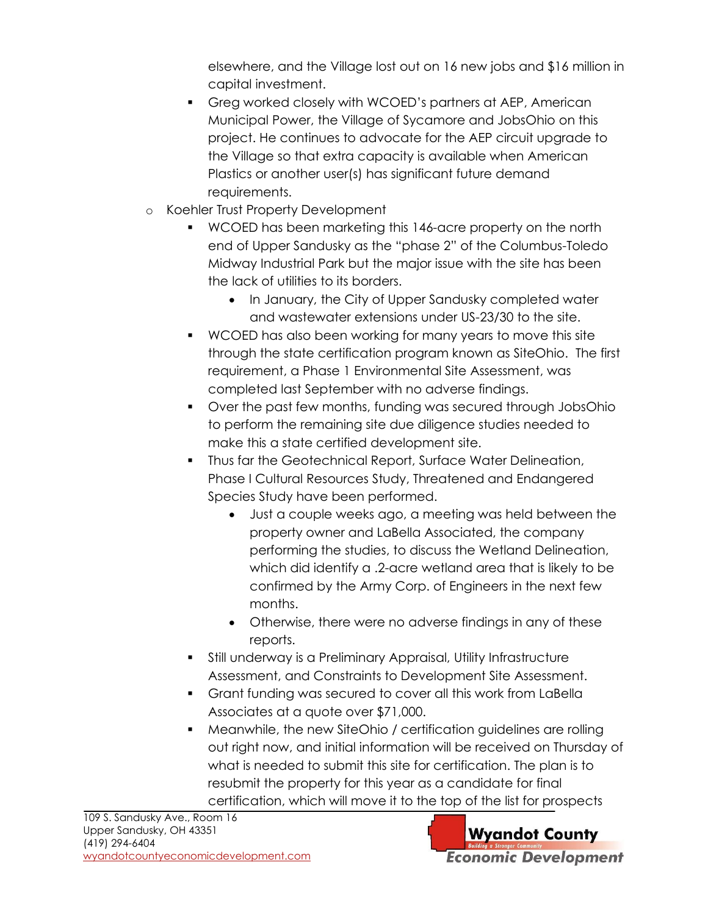elsewhere, and the Village lost out on 16 new jobs and \$16 million in capital investment.

- Greg worked closely with WCOED's partners at AEP, American Municipal Power, the Village of Sycamore and JobsOhio on this project. He continues to advocate for the AEP circuit upgrade to the Village so that extra capacity is available when American Plastics or another user(s) has significant future demand requirements.
- o Koehler Trust Property Development
	- WCOED has been marketing this 146-acre property on the north end of Upper Sandusky as the "phase 2" of the Columbus-Toledo Midway Industrial Park but the major issue with the site has been the lack of utilities to its borders.
		- In January, the City of Upper Sandusky completed water and wastewater extensions under US-23/30 to the site.
	- WCOED has also been working for many years to move this site through the state certification program known as SiteOhio. The first requirement, a Phase 1 Environmental Site Assessment, was completed last September with no adverse findings.
	- Over the past few months, funding was secured through JobsOhio to perform the remaining site due diligence studies needed to make this a state certified development site.
	- Thus far the Geotechnical Report, Surface Water Delineation, Phase I Cultural Resources Study, Threatened and Endangered Species Study have been performed.
		- Just a couple weeks ago, a meeting was held between the property owner and LaBella Associated, the company performing the studies, to discuss the Wetland Delineation, which did identify a .2-acre wetland area that is likely to be confirmed by the Army Corp. of Engineers in the next few months.
		- Otherwise, there were no adverse findings in any of these reports.
	- **•** Still underway is a Preliminary Appraisal, Utility Infrastructure Assessment, and Constraints to Development Site Assessment.
	- Grant funding was secured to cover all this work from LaBella Associates at a quote over \$71,000.
	- Meanwhile, the new SiteOhio / certification guidelines are rolling out right now, and initial information will be received on Thursday of what is needed to submit this site for certification. The plan is to resubmit the property for this year as a candidate for final certification, which will move it to the top of the list for prospects

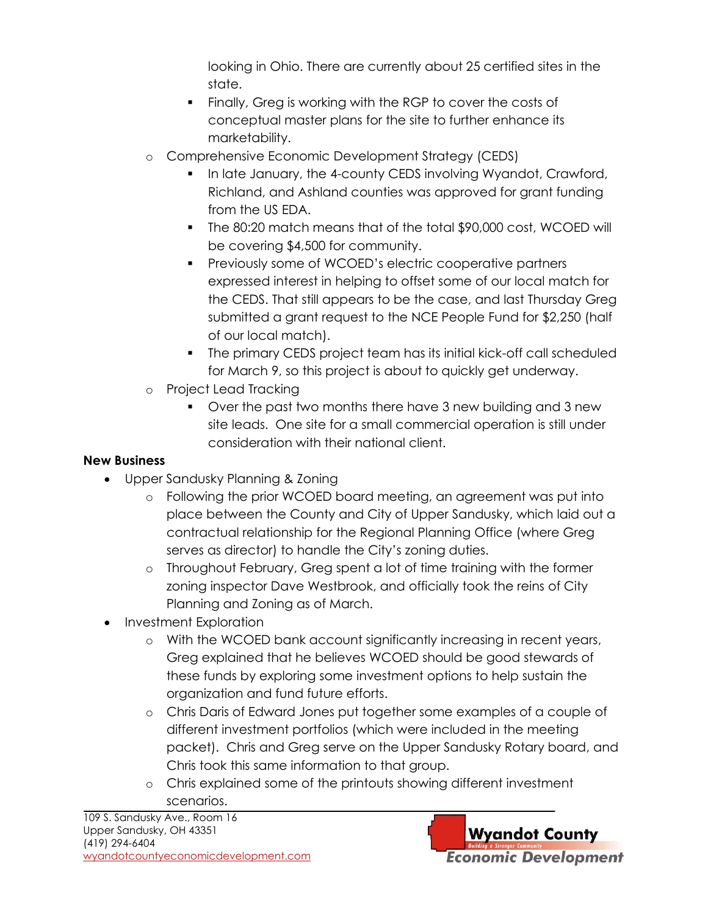looking in Ohio. There are currently about 25 certified sites in the state.

- Finally, Greg is working with the RGP to cover the costs of conceptual master plans for the site to further enhance its marketability.
- o Comprehensive Economic Development Strategy (CEDS)
	- In late January, the 4-county CEDS involving Wyandot, Crawford, Richland, and Ashland counties was approved for grant funding from the US EDA.
	- The 80:20 match means that of the total \$90,000 cost, WCOED will be covering \$4,500 for community.
	- Previously some of WCOED's electric cooperative partners expressed interest in helping to offset some of our local match for the CEDS. That still appears to be the case, and last Thursday Greg submitted a grant request to the NCE People Fund for \$2,250 (half of our local match).
	- The primary CEDS project team has its initial kick-off call scheduled for March 9, so this project is about to quickly get underway.
- o Project Lead Tracking
	- Over the past two months there have 3 new building and 3 new site leads. One site for a small commercial operation is still under consideration with their national client.

## **New Business**

- Upper Sandusky Planning & Zoning
	- o Following the prior WCOED board meeting, an agreement was put into place between the County and City of Upper Sandusky, which laid out a contractual relationship for the Regional Planning Office (where Greg serves as director) to handle the City's zoning duties.
	- o Throughout February, Greg spent a lot of time training with the former zoning inspector Dave Westbrook, and officially took the reins of City Planning and Zoning as of March.
- Investment Exploration
	- o With the WCOED bank account significantly increasing in recent years, Greg explained that he believes WCOED should be good stewards of these funds by exploring some investment options to help sustain the organization and fund future efforts.
	- o Chris Daris of Edward Jones put together some examples of a couple of different investment portfolios (which were included in the meeting packet). Chris and Greg serve on the Upper Sandusky Rotary board, and Chris took this same information to that group.
	- o Chris explained some of the printouts showing different investment scenarios.